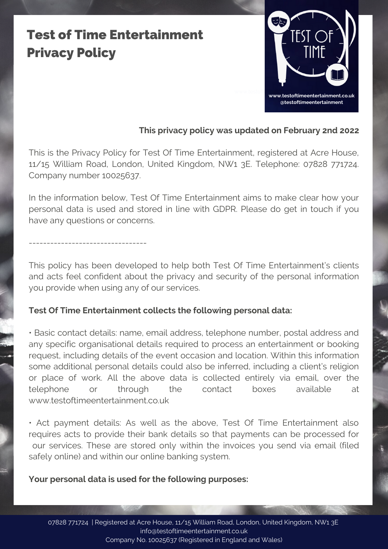## Test of Time Entertainment Privacy Policy

---------------------------------



## **This privacy policy was updated on February 2nd 2022**

This is the Privacy Policy for Test Of Time Entertainment, registered at Acre House, 11/15 William Road, London, United Kingdom, NW1 3E. Telephone: 07828 771724. Company number 10025637.

In the information below, Test Of Time Entertainment aims to make clear how your personal data is used and stored in line with GDPR. Please do get in touch if you have any questions or concerns.

This policy has been developed to help both Test Of Time Entertainment's clients and acts feel confident about the privacy and security of the personal information you provide when using any of our services.

### **Test Of Time Entertainment collects the following personal data:**

• Basic contact details: name, email address, telephone number, postal address and any specific organisational details required to process an entertainment or booking request, including details of the event occasion and location. Within this information some additional personal details could also be inferred, including a client's religion or place of work. All the above data is collected entirely via email, over the telephone or through the contact boxes available at www.testoftimeentertainment.co.uk

• Act payment details: As well as the above, Test Of Time Entertainment also requires acts to provide their bank details so that payments can be processed for our services. These are stored only within the invoices you send via email (filed safely online) and within our online banking system.

#### **Your personal data is used for the following purposes:**

07828 771724 | Registered at Acre House, 11/15 William Road, London, United Kingdom, NW1 3E info@testoftimeentertainment.co.uk Company No. 10025637 (Registered in England and Wales)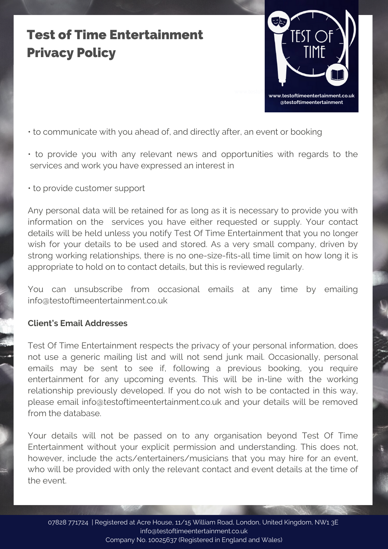## Test of Time Entertainment Privacy Policy



• to communicate with you ahead of, and directly after, an event or booking

- to provide you with any relevant news and opportunities with regards to the services and work you have expressed an interest in
- to provide customer support

Any personal data will be retained for as long as it is necessary to provide you with information on the services you have either requested or supply. Your contact details will be held unless you notify Test Of Time Entertainment that you no longer wish for your details to be used and stored. As a very small company, driven by strong working relationships, there is no one-size-fits-all time limit on how long it is appropriate to hold on to contact details, but this is reviewed regularly.

You can unsubscribe from occasional emails at any time by emailing info@testoftimeentertainment.co.uk

#### **Client's Email Addresses**

Test Of Time Entertainment respects the privacy of your personal information, does not use a generic mailing list and will not send junk mail. Occasionally, personal emails may be sent to see if, following a previous booking, you require entertainment for any upcoming events. This will be in-line with the working relationship previously developed. If you do not wish to be contacted in this way, please email info@testoftimeentertainment.co.uk and your details will be removed from the database.

Your details will not be passed on to any organisation beyond Test Of Time Entertainment without your explicit permission and understanding. This does not, however, include the acts/entertainers/musicians that you may hire for an event, who will be provided with only the relevant contact and event details at the time of the event.

07828 771724 | Registered at Acre House, 11/15 William Road, London, United Kingdom, NW1 3E info@testoftimeentertainment.co.uk Company No. 10025637 (Registered in England and Wales)